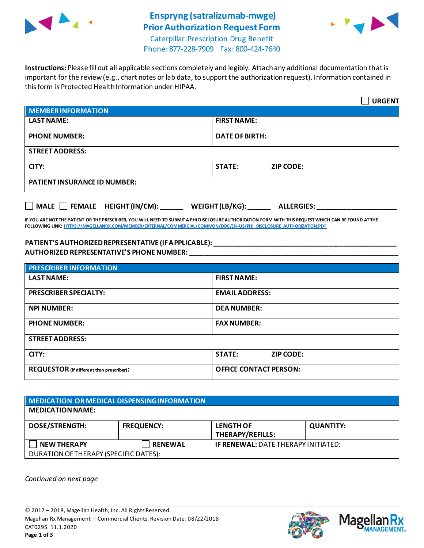

# **Enspryng (satralizumab-mwge) Prior Authorization Request Form**



Caterpillar Prescription Drug Benefit Phone: 877-228-7909 Fax: 800-424-7640

**Instructions:** Please fill out all applicable sections completely and legibly. Attach any additional documentation that is important for the review (e.g., chart notes or lab data, to support the authorization request). Information contained in this form is Protected Health Information under HIPAA.

|                                                                      | <b>URGENT</b>                     |  |  |  |
|----------------------------------------------------------------------|-----------------------------------|--|--|--|
| <b>MEMBER INFORMATION</b>                                            |                                   |  |  |  |
| <b>LAST NAME:</b>                                                    | <b>FIRST NAME:</b>                |  |  |  |
| <b>PHONE NUMBER:</b>                                                 | <b>DATE OF BIRTH:</b>             |  |  |  |
| <b>STREET ADDRESS:</b>                                               |                                   |  |  |  |
| CITY:                                                                | <b>STATE:</b><br><b>ZIP CODE:</b> |  |  |  |
| <b>PATIENT INSURANCE ID NUMBER:</b>                                  |                                   |  |  |  |
| MALE FEMALE HEIGHT (IN/CM): ______ WEIGHT (LB/KG): ______ ALLERGIES: |                                   |  |  |  |

**IF YOU ARE NOT THE PATIENT OR THE PRESCRIBER, YOU WILL NEED TO SUBMIT A PHI DISCLOSURE AUTHORIZATION FORM WITH THIS REQUEST WHICH CAN BE FOUND AT THE FOLLOWING LINK[: HTTPS://MAGELLANRX.COM/MEMBER/EXTERNAL/COMMERCIAL/COMMON/DOC/EN-US/PHI\\_DISCLOSURE\\_AUTHORIZATION.PDF](https://magellanrx.com/member/external/commercial/common/doc/en-us/PHI_Disclosure_Authorization.pdf)**

#### **PATIENT'S AUTHORIZED REPRESENTATIVE (IF APPLICABLE): \_\_\_\_\_\_\_\_\_\_\_\_\_\_\_\_\_\_\_\_\_\_\_\_\_\_\_\_\_\_\_\_\_\_\_\_\_\_\_\_\_\_\_\_\_\_\_\_ AUTHORIZED REPRESENTATIVE'S PHONE NUMBER: \_\_\_\_\_\_\_\_\_\_\_\_\_\_\_\_\_\_\_\_\_\_\_\_\_\_\_\_\_\_\_\_\_\_\_\_\_\_\_\_\_\_\_\_\_\_\_\_\_\_\_\_\_\_\_**

| <b>PRESCRIBER INFORMATION</b>             |                               |  |  |  |
|-------------------------------------------|-------------------------------|--|--|--|
| <b>LAST NAME:</b>                         | <b>FIRST NAME:</b>            |  |  |  |
| <b>PRESCRIBER SPECIALTY:</b>              | <b>EMAIL ADDRESS:</b>         |  |  |  |
| <b>NPI NUMBER:</b>                        | <b>DEA NUMBER:</b>            |  |  |  |
| <b>PHONE NUMBER:</b>                      | <b>FAX NUMBER:</b>            |  |  |  |
| <b>STREET ADDRESS:</b>                    |                               |  |  |  |
| CITY:                                     | <b>STATE:</b><br>ZIP CODE:    |  |  |  |
| REQUESTOR (if different than prescriber): | <b>OFFICE CONTACT PERSON:</b> |  |  |  |

| MEDICATION OR MEDICAL DISPENSING INFORMATION |                   |                                            |                  |  |  |
|----------------------------------------------|-------------------|--------------------------------------------|------------------|--|--|
| <b>MEDICATION NAME:</b>                      |                   |                                            |                  |  |  |
| <b>DOSE/STRENGTH:</b>                        | <b>FREQUENCY:</b> | <b>LENGTH OF</b><br>THERAPY/REFILLS:       | <b>QUANTITY:</b> |  |  |
| <b>NEW THERAPY</b>                           | <b>RENEWAL</b>    | <b>IF RENEWAL: DATE THERAPY INITIATED:</b> |                  |  |  |
| DURATION OF THERAPY (SPECIFIC DATES):        |                   |                                            |                  |  |  |

*Continued on next page*



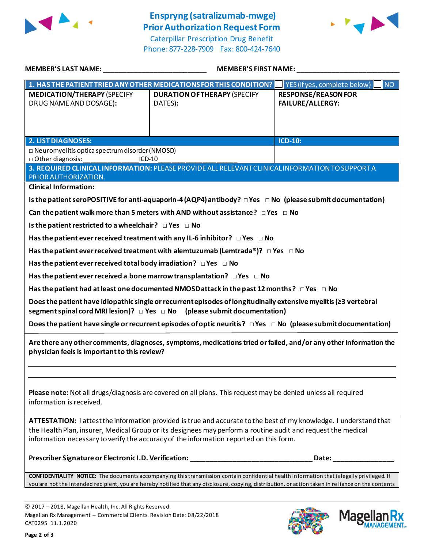

## **Enspryng (satralizumab-mwge) Prior Authorization Request Form**

Caterpillar Prescription Drug Benefit Phone: 877-228-7909 Fax: 800-424-7640



| MEMBER'S LAST NAME:                                                                                                                                                                                                                                                                                                          | <b>MEMBER'S FIRST NAME:</b>                                                                                              |                                                       |  |  |
|------------------------------------------------------------------------------------------------------------------------------------------------------------------------------------------------------------------------------------------------------------------------------------------------------------------------------|--------------------------------------------------------------------------------------------------------------------------|-------------------------------------------------------|--|--|
|                                                                                                                                                                                                                                                                                                                              | 1. HAS THE PATIENT TRIED ANY OTHER MEDICATIONS FOR THIS CONDITION?                                                       | INO <sub>1</sub><br>YES (if yes, complete below)      |  |  |
| <b>MEDICATION/THERAPY (SPECIFY</b><br>DRUG NAME AND DOSAGE):                                                                                                                                                                                                                                                                 | <b>DURATION OF THERAPY (SPECIFY</b><br>DATES):                                                                           | <b>RESPONSE/REASON FOR</b><br><b>FAILURE/ALLERGY:</b> |  |  |
| 2. LIST DIAGNOSES:                                                                                                                                                                                                                                                                                                           |                                                                                                                          | <b>ICD-10:</b>                                        |  |  |
| □ Neuromyelitis optica spectrum disorder (NMOSD)<br>□ Other diagnosis:<br>$ICD-10$<br>3. REQUIRED CLINICAL INFORMATION: PLEASE PROVIDE ALL RELEVANT CLINICAL INFORMATION TO SUPPORT A                                                                                                                                        |                                                                                                                          |                                                       |  |  |
| PRIOR AUTHORIZATION.                                                                                                                                                                                                                                                                                                         |                                                                                                                          |                                                       |  |  |
| <b>Clinical Information:</b>                                                                                                                                                                                                                                                                                                 |                                                                                                                          |                                                       |  |  |
|                                                                                                                                                                                                                                                                                                                              | Is the patient seroPOSITIVE for anti-aquaporin-4 (AQP4) antibody? $\Box$ Yes $\Box$ No (please submit documentation)     |                                                       |  |  |
|                                                                                                                                                                                                                                                                                                                              | Can the patient walk more than 5 meters with AND without assistance? $\Box$ Yes $\Box$ No                                |                                                       |  |  |
| Is the patient restricted to a wheelchair? $\Box$ Yes $\Box$ No                                                                                                                                                                                                                                                              |                                                                                                                          |                                                       |  |  |
|                                                                                                                                                                                                                                                                                                                              | Has the patient ever received treatment with any IL-6 inhibitor? $\Box$ Yes $\Box$ No                                    |                                                       |  |  |
|                                                                                                                                                                                                                                                                                                                              | Has the patient ever received treatment with alemtuzumab (Lemtrada®)? $\Box$ Yes $\Box$ No                               |                                                       |  |  |
| Has the patient ever received total body irradiation? $\Box$ Yes $\Box$ No                                                                                                                                                                                                                                                   |                                                                                                                          |                                                       |  |  |
| Has the patient ever received a bone marrow transplantation? $\Box$ Yes $\Box$ No                                                                                                                                                                                                                                            |                                                                                                                          |                                                       |  |  |
|                                                                                                                                                                                                                                                                                                                              | Has the patient had at least one documented NMOSD attack in the past 12 months ? $\Box$ Yes $\Box$ No                    |                                                       |  |  |
| Does the patient have idiopathic single or recurrent episodes of longitudinally extensive myelitis (23 vertebral<br>segment spinal cord MRI lesion)? $\Box$ Yes $\Box$ No (please submit documentation)                                                                                                                      |                                                                                                                          |                                                       |  |  |
|                                                                                                                                                                                                                                                                                                                              | Does the patient have single or recurrent episodes of optic neuritis? $\Box$ Yes $\Box$ No (please submit documentation) |                                                       |  |  |
| Are there any other comments, diagnoses, symptoms, medications tried or failed, and/or any other information the<br>physician feels is important to this review?                                                                                                                                                             |                                                                                                                          |                                                       |  |  |
| Please note: Not all drugs/diagnosis are covered on all plans. This request may be denied unless all required<br>information is received.                                                                                                                                                                                    |                                                                                                                          |                                                       |  |  |
| ATTESTATION: I attest the information provided is true and accurate to the best of my knowledge. I understand that<br>the Health Plan, insurer, Medical Group or its designees may perform a routine audit and request the medical<br>information necessary to verify the accuracy of the information reported on this form. |                                                                                                                          |                                                       |  |  |
|                                                                                                                                                                                                                                                                                                                              | Prescriber Signature or Electronic I.D. Verification: ___________________________                                        | Date:                                                 |  |  |
| <b>CONFIDENTIALITY NOTICE:</b> The documents accompanying this transmission contain confidential health information that is legally privileged. If<br>you are not the intended recipient, you are hereby notified that any disclosure, copying, distribution, or action taken in re liance on the contents                   |                                                                                                                          |                                                       |  |  |

© 2017 – 2018, Magellan Health, Inc. All Rights Reserved. Magellan Rx Management – Commercial Clients. Revision Date: 08/22/2018 CAT0295 11.1.2020